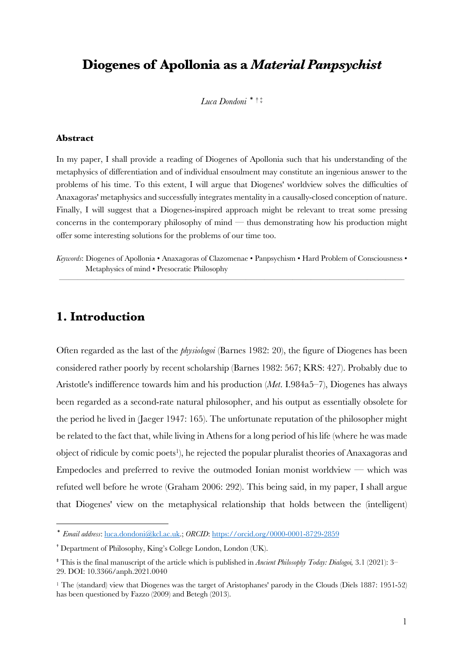## **Diogenes of Apollonia as a** *Material Panpsychist*

*Luca Dondoni* \* † ‡

#### **Abstract**

In my paper, I shall provide a reading of Diogenes of Apollonia such that his understanding of the metaphysics of differentiation and of individual ensoulment may constitute an ingenious answer to the problems of his time. To this extent, I will argue that Diogenes' worldview solves the difficulties of Anaxagoras' metaphysics and successfully integrates mentality in a causally-closed conception of nature. Finally, I will suggest that a Diogenes-inspired approach might be relevant to treat some pressing concerns in the contemporary philosophy of mind — thus demonstrating how his production might offer some interesting solutions for the problems of our time too.

*Keywords*: Diogenes of Apollonia • Anaxagoras of Clazomenae • Panpsychism • Hard Problem of Consciousness • Metaphysics of mind • Presocratic Philosophy

 $\frac{1}{\sqrt{2}}$  ,  $\frac{1}{\sqrt{2}}$  ,  $\frac{1}{\sqrt{2}}$  ,  $\frac{1}{\sqrt{2}}$  ,  $\frac{1}{\sqrt{2}}$  ,  $\frac{1}{\sqrt{2}}$  ,  $\frac{1}{\sqrt{2}}$  ,  $\frac{1}{\sqrt{2}}$  ,  $\frac{1}{\sqrt{2}}$  ,  $\frac{1}{\sqrt{2}}$  ,  $\frac{1}{\sqrt{2}}$  ,  $\frac{1}{\sqrt{2}}$  ,  $\frac{1}{\sqrt{2}}$  ,  $\frac{1}{\sqrt{2}}$  ,  $\frac{1}{\sqrt{2}}$ 

## **1. Introduction**

Often regarded as the last of the *physiologoi* (Barnes 1982: 20), the figure of Diogenes has been considered rather poorly by recent scholarship (Barnes 1982: 567; KRS: 427). Probably due to Aristotle's indifference towards him and his production (*Met*. I.984a5–7), Diogenes has always been regarded as a second-rate natural philosopher, and his output as essentially obsolete for the period he lived in (Jaeger 1947: 165). The unfortunate reputation of the philosopher might be related to the fact that, while living in Athens for a long period of his life (where he was made object of ridicule by comic poets1), he rejected the popular pluralist theories of Anaxagoras and Empedocles and preferred to revive the outmoded Ionian monist worldview — which was refuted well before he wrote (Graham 2006: 292). This being said, in my paper, I shall argue that Diogenes' view on the metaphysical relationship that holds between the (intelligent)

<sup>\*</sup> *Email address*: luca.dondoni@kcl.ac.uk.; *ORCID*: https://orcid.org/0000-0001-8729-2859

<sup>†</sup> Department of Philosophy, King's College London, London (UK).

<sup>‡</sup> This is the final manuscript of the article which is published in *Ancient Philosophy Today: Dialogoi,* 3.1 (2021): 3– 29. DOI: 10.3366/anph.2021.0040

<sup>1</sup> The (standard) view that Diogenes was the target of Aristophanes' parody in the Clouds (Diels 1887: 1951-52) has been questioned by Fazzo (2009) and Betegh (2013).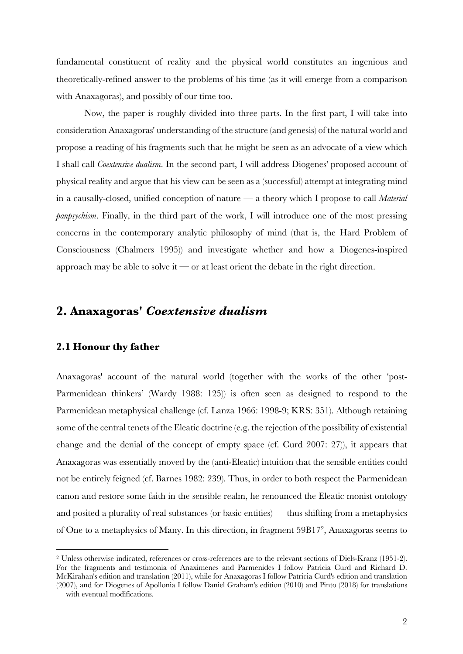fundamental constituent of reality and the physical world constitutes an ingenious and theoretically-refined answer to the problems of his time (as it will emerge from a comparison with Anaxagoras), and possibly of our time too.

Now, the paper is roughly divided into three parts. In the first part, I will take into consideration Anaxagoras' understanding of the structure (and genesis) of the natural world and propose a reading of his fragments such that he might be seen as an advocate of a view which I shall call *Coextensive dualism*. In the second part, I will address Diogenes' proposed account of physical reality and argue that his view can be seen as a (successful) attempt at integrating mind in a causally-closed, unified conception of nature — a theory which I propose to call *Material panpsychism*. Finally, in the third part of the work, I will introduce one of the most pressing concerns in the contemporary analytic philosophy of mind (that is, the Hard Problem of Consciousness (Chalmers 1995)) and investigate whether and how a Diogenes-inspired approach may be able to solve it — or at least orient the debate in the right direction.

## **2. Anaxagoras'** *Coextensive dualism*

#### **2.1 Honour thy father**

Anaxagoras' account of the natural world (together with the works of the other 'post-Parmenidean thinkers' (Wardy 1988: 125)) is often seen as designed to respond to the Parmenidean metaphysical challenge (cf. Lanza 1966: 1998-9; KRS: 351). Although retaining some of the central tenets of the Eleatic doctrine (e.g. the rejection of the possibility of existential change and the denial of the concept of empty space (cf. Curd 2007: 27)), it appears that Anaxagoras was essentially moved by the (anti-Eleatic) intuition that the sensible entities could not be entirely feigned (cf. Barnes 1982: 239). Thus, in order to both respect the Parmenidean canon and restore some faith in the sensible realm, he renounced the Eleatic monist ontology and posited a plurality of real substances (or basic entities) — thus shifting from a metaphysics of One to a metaphysics of Many. In this direction, in fragment 59B172, Anaxagoras seems to

<sup>2</sup> Unless otherwise indicated, references or cross-references are to the relevant sections of Diels-Kranz (1951-2). For the fragments and testimonia of Anaximenes and Parmenides I follow Patricia Curd and Richard D. McKirahan's edition and translation (2011), while for Anaxagoras I follow Patricia Curd's edition and translation (2007), and for Diogenes of Apollonia I follow Daniel Graham's edition (2010) and Pinto (2018) for translations — with eventual modifications.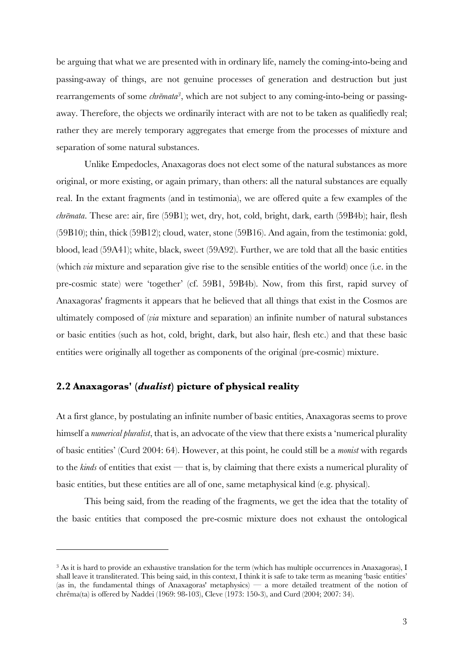be arguing that what we are presented with in ordinary life, namely the coming-into-being and passing-away of things, are not genuine processes of generation and destruction but just rearrangements of some *chr* $\bar{e}$ *mata<sup>3</sup>*, which are not subject to any coming-into-being or passingaway. Therefore, the objects we ordinarily interact with are not to be taken as qualifiedly real; rather they are merely temporary aggregates that emerge from the processes of mixture and separation of some natural substances.

Unlike Empedocles, Anaxagoras does not elect some of the natural substances as more original, or more existing, or again primary, than others: all the natural substances are equally real. In the extant fragments (and in testimonia), we are offered quite a few examples of the *chrēmata*. These are: air, fire (59B1); wet, dry, hot, cold, bright, dark, earth (59B4b); hair, flesh (59B10); thin, thick (59B12); cloud, water, stone (59B16). And again, from the testimonia: gold, blood, lead (59A41); white, black, sweet (59A92). Further, we are told that all the basic entities (which *via* mixture and separation give rise to the sensible entities of the world) once (i.e. in the pre-cosmic state) were 'together' (cf. 59B1, 59B4b). Now, from this first, rapid survey of Anaxagoras' fragments it appears that he believed that all things that exist in the Cosmos are ultimately composed of (*via* mixture and separation) an infinite number of natural substances or basic entities (such as hot, cold, bright, dark, but also hair, flesh etc.) and that these basic entities were originally all together as components of the original (pre-cosmic) mixture.

### **2.2 Anaxagoras' (***dualist***) picture of physical reality**

At a first glance, by postulating an infinite number of basic entities, Anaxagoras seems to prove himself a *numerical pluralist*, that is, an advocate of the view that there exists a 'numerical plurality of basic entities' (Curd 2004: 64). However, at this point, he could still be a *monist* with regards to the *kinds* of entities that exist — that is, by claiming that there exists a numerical plurality of basic entities, but these entities are all of one, same metaphysical kind (e.g. physical).

This being said, from the reading of the fragments, we get the idea that the totality of the basic entities that composed the pre-cosmic mixture does not exhaust the ontological

<sup>3</sup> As it is hard to provide an exhaustive translation for the term (which has multiple occurrences in Anaxagoras), I shall leave it transliterated. This being said, in this context, I think it is safe to take term as meaning 'basic entities' (as in, the fundamental things of Anaxagoras' metaphysics) — a more detailed treatment of the notion of chrēma(ta) is offered by Naddei (1969: 98-103), Cleve (1973: 150-3), and Curd (2004; 2007: 34).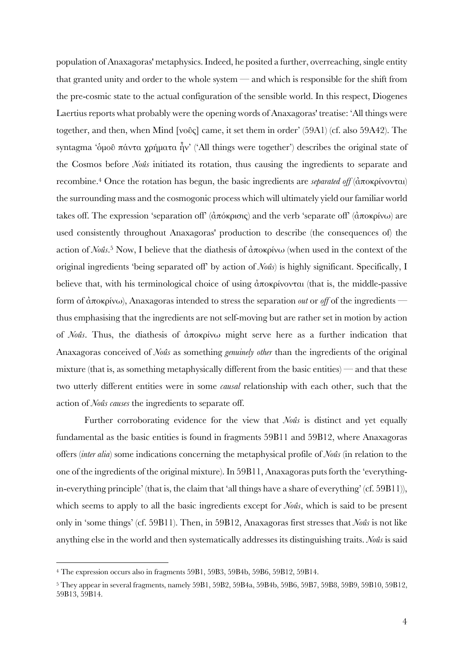population of Anaxagoras' metaphysics. Indeed, he posited a further, overreaching, single entity that granted unity and order to the whole system — and which is responsible for the shift from the pre-cosmic state to the actual configuration of the sensible world. In this respect, Diogenes Laertius reports what probably were the opening words of Anaxagoras' treatise: 'All things were together, and then, when Mind [νοῦς] came, it set them in order' (59A1) (cf. also 59A42). The syntagma 'δμοῦ πάντα χρήματα ἦν' ('All things were together') describes the original state of the Cosmos before *Noûs* initiated its rotation, thus causing the ingredients to separate and recombine. <sup>4</sup> Once the rotation has begun, the basic ingredients are *separated off* (ἀποκρίνονται) the surrounding mass and the cosmogonic process which will ultimately yield our familiar world takes off. The expression 'separation off' (ἀπόκρισις) and the verb 'separate off' (ἀποκρίνω) are used consistently throughout Anaxagoras' production to describe (the consequences of) the action of *Noûs*. <sup>5</sup> Now, I believe that the diathesis of ἀποκρίνω (when used in the context of the original ingredients 'being separated off' by action of *Noûs*) is highly significant. Specifically, I believe that, with his terminological choice of using  $\hat{\alpha} \pi$ οκρίνονται (that is, the middle-passive form of ἀποκρίνω), Anaxagoras intended to stress the separation *out* or *off* of the ingredients thus emphasising that the ingredients are not self-moving but are rather set in motion by action of *Noûs*. Thus, the diathesis of ἀποκρίνω might serve here as a further indication that Anaxagoras conceived of *Noûs* as something *genuinely other* than the ingredients of the original mixture (that is, as something metaphysically different from the basic entities) — and that these two utterly different entities were in some *causal* relationship with each other, such that the action of *Noûs causes* the ingredients to separate off.

Further corroborating evidence for the view that *Noûs* is distinct and yet equally fundamental as the basic entities is found in fragments 59B11 and 59B12, where Anaxagoras offers (*inter alia*) some indications concerning the metaphysical profile of *Noûs* (in relation to the one of the ingredients of the original mixture). In 59B11, Anaxagoras puts forth the 'everythingin-everything principle' (that is, the claim that 'all things have a share of everything' (cf. 59B11)), which seems to apply to all the basic ingredients except for *Noûs*, which is said to be present only in 'some things' (cf. 59B11). Then, in 59B12, Anaxagoras first stresses that *Noûs* is not like anything else in the world and then systematically addresses its distinguishing traits. *Noûs* is said

<sup>4</sup> The expression occurs also in fragments 59B1, 59B3, 59B4b, 59B6, 59B12, 59B14.

<sup>5</sup> They appear in several fragments, namely 59B1, 59B2, 59B4a, 59B4b, 59B6, 59B7, 59B8, 59B9, 59B10, 59B12, 59B13, 59B14.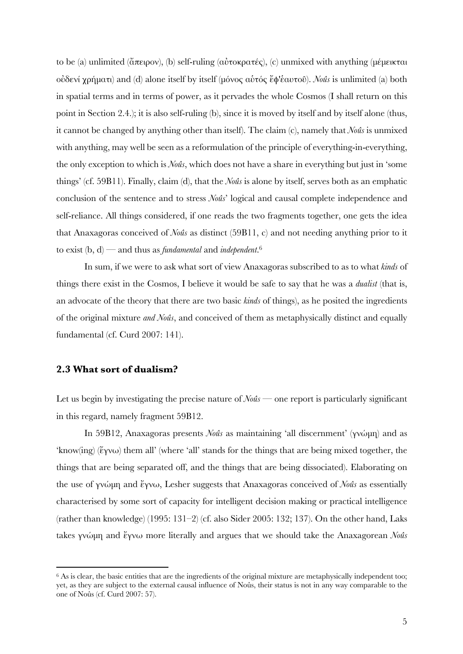to be (a) unlimited (ἄπειρον), (b) self-ruling (αὐτοκρατές), (c) unmixed with anything (μέμεικται οὐδενί χρήματι) and (d) alone itself by itself (μόνος αὑτός ἔφ'ἑαυτοῦ). *Noûs* is unlimited (a) both in spatial terms and in terms of power, as it pervades the whole Cosmos (I shall return on this point in Section 2.4.); it is also self-ruling (b), since it is moved by itself and by itself alone (thus, it cannot be changed by anything other than itself). The claim (c), namely that *Noûs* is unmixed with anything, may well be seen as a reformulation of the principle of everything-in-everything, the only exception to which is *Noûs*, which does not have a share in everything but just in 'some things' (cf. 59B11). Finally, claim (d), that the *Noûs* is alone by itself, serves both as an emphatic conclusion of the sentence and to stress *Noûs*' logical and causal complete independence and self-reliance. All things considered, if one reads the two fragments together, one gets the idea that Anaxagoras conceived of *Noûs* as distinct (59B11, c) and not needing anything prior to it to exist (b, d) — and thus as *fundamental* and *independent*. 6

In sum, if we were to ask what sort of view Anaxagoras subscribed to as to what *kinds* of things there exist in the Cosmos, I believe it would be safe to say that he was a *dualist* (that is, an advocate of the theory that there are two basic *kinds* of things), as he posited the ingredients of the original mixture *and Noûs*, and conceived of them as metaphysically distinct and equally fundamental (cf. Curd 2007: 141).

#### **2.3 What sort of dualism?**

Let us begin by investigating the precise nature of *Noûs* — one report is particularly significant in this regard, namely fragment 59B12.

In 59B12, Anaxagoras presents *Noûs* as maintaining 'all discernment' (γνώμη) and as 'know(ing) (ἔγνω) them all' (where 'all' stands for the things that are being mixed together, the things that are being separated off, and the things that are being dissociated). Elaborating on the use of γνώμη and ἔγνω, Lesher suggests that Anaxagoras conceived of *Noûs* as essentially characterised by some sort of capacity for intelligent decision making or practical intelligence (rather than knowledge) (1995: 131–2) (cf. also Sider 2005: 132; 137). On the other hand, Laks takes γνώμη and ἔγνω more literally and argues that we should take the Anaxagorean *Noûs*

<sup>6</sup> As is clear, the basic entities that are the ingredients of the original mixture are metaphysically independent too; yet, as they are subject to the external causal influence of Noûs, their status is not in any way comparable to the one of Noûs (cf. Curd 2007: 57).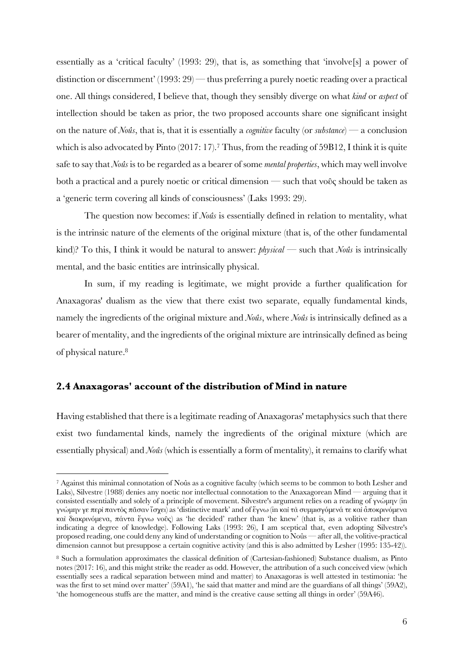essentially as a 'critical faculty' (1993: 29), that is, as something that 'involve[s] a power of distinction or discernment' (1993: 29) — thus preferring a purely noetic reading over a practical one. All things considered, I believe that, though they sensibly diverge on what *kind* or *aspect* of intellection should be taken as prior, the two proposed accounts share one significant insight on the nature of *Noûs*, that is, that it is essentially a *cognitive* faculty (or *substance*) — a conclusion which is also advocated by Pinto (2017: 17).<sup>7</sup> Thus, from the reading of 59B12, I think it is quite safe to say that *Noûs* is to be regarded as a bearer of some *mental properties*, which may well involve both a practical and a purely noetic or critical dimension — such that νοῦς should be taken as a 'generic term covering all kinds of consciousness' (Laks 1993: 29).

The question now becomes: if *Noûs* is essentially defined in relation to mentality, what is the intrinsic nature of the elements of the original mixture (that is, of the other fundamental kind)? To this, I think it would be natural to answer: *physical* — such that *Noûs* is intrinsically mental, and the basic entities are intrinsically physical.

In sum, if my reading is legitimate, we might provide a further qualification for Anaxagoras' dualism as the view that there exist two separate, equally fundamental kinds, namely the ingredients of the original mixture and *Noûs*, where *Noûs* is intrinsically defined as a bearer of mentality, and the ingredients of the original mixture are intrinsically defined as being of physical nature.8

#### **2.4 Anaxagoras' account of the distribution of Mind in nature**

Having established that there is a legitimate reading of Anaxagoras' metaphysics such that there exist two fundamental kinds, namely the ingredients of the original mixture (which are essentially physical) and *Noûs* (which is essentially a form of mentality), it remains to clarify what

<sup>7</sup> Against this minimal connotation of Noûs as a cognitive faculty (which seems to be common to both Lesher and Laks), Silvestre (1988) denies any noetic nor intellectual connotation to the Anaxagorean Mind — arguing that it consisted essentially and solely of a principle of movement. Silvestre's argument relies on a reading of γνώμην (in γνώμην γε περὶ παντὸς πᾶσαν ἴσχει) as 'distinctive mark' and of ἔγνω (in καὶ τὰ συμμισγόμενά τε καὶ ἀποκρινόμενα καὶ διακρινόμενα, πάντα ἔγνω νοῦς) as 'he decided' rather than 'he knew' (that is, as a volitive rather than indicating a degree of knowledge). Following Laks (1993: 26), I am sceptical that, even adopting Silvestre's proposed reading, one could deny any kind of understanding or cognition to Noûs — after all, the volitive-practical dimension cannot but presuppose a certain cognitive activity (and this is also admitted by Lesher (1995: 135-42)).

<sup>8</sup> Such a formulation approximates the classical definition of (Cartesian-fashioned) Substance dualism, as Pinto notes (2017: 16), and this might strike the reader as odd. However, the attribution of a such conceived view (which essentially sees a radical separation between mind and matter) to Anaxagoras is well attested in testimonia: 'he was the first to set mind over matter' (59A1), 'he said that matter and mind are the guardians of all things' (59A2), 'the homogeneous stuffs are the matter, and mind is the creative cause setting all things in order' (59A46).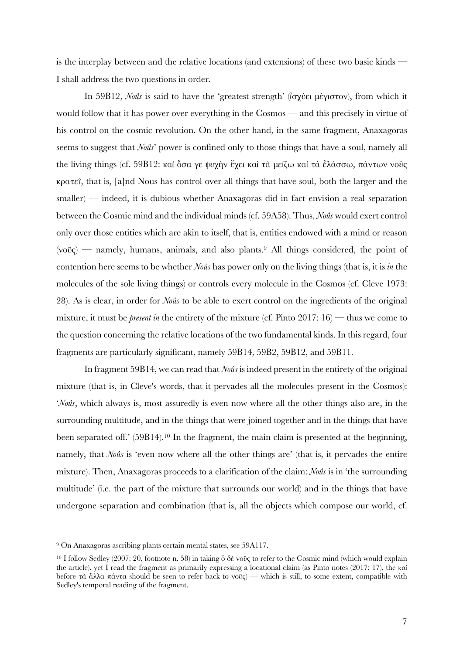is the interplay between and the relative locations (and extensions) of these two basic kinds — I shall address the two questions in order.

In 59B12, *Noûs* is said to have the 'greatest strength' (ἰσχύει μέγιστον), from which it would follow that it has power over everything in the Cosmos — and this precisely in virtue of his control on the cosmic revolution. On the other hand, in the same fragment, Anaxagoras seems to suggest that *Noûs*' power is confined only to those things that have a soul, namely all the living things (cf. 59B12: καὶ ὅσα γε ψυχὴν ἔχει καὶ τὰ μείζω καὶ τὰ ἐλάσσω, πάντων νοῦς κρατεῖ, that is, [a]nd Nous has control over all things that have soul, both the larger and the smaller) — indeed, it is dubious whether Anaxagoras did in fact envision a real separation between the Cosmic mind and the individual minds (cf. 59A58). Thus, *Noûs* would exert control only over those entities which are akin to itself, that is, entities endowed with a mind or reason  $(voôs)$  — namely, humans, animals, and also plants.<sup>9</sup> All things considered, the point of contention here seems to be whether *Noûs* has power only on the living things (that is, it is *in* the molecules of the sole living things) or controls every molecule in the Cosmos (cf. Cleve 1973: 28). As is clear, in order for *Noûs* to be able to exert control on the ingredients of the original mixture, it must be *present in* the entirety of the mixture (cf. Pinto  $2017: 16$ ) — thus we come to the question concerning the relative locations of the two fundamental kinds. In this regard, four fragments are particularly significant, namely 59B14, 59B2, 59B12, and 59B11.

In fragment 59B14, we can read that *Noûs* is indeed present in the entirety of the original mixture (that is, in Cleve's words, that it pervades all the molecules present in the Cosmos): '*Noûs*, which always is, most assuredly is even now where all the other things also are, in the surrounding multitude, and in the things that were joined together and in the things that have been separated off.' (59B14).<sup>10</sup> In the fragment, the main claim is presented at the beginning, namely, that *Noûs* is 'even now where all the other things are' (that is, it pervades the entire mixture). Then, Anaxagoras proceeds to a clarification of the claim: *Noûs* is in 'the surrounding multitude' (i.e. the part of the mixture that surrounds our world) and in the things that have undergone separation and combination (that is, all the objects which compose our world, cf.

<sup>9</sup> On Anaxagoras ascribing plants certain mental states, see 59A117.

<sup>&</sup>lt;sup>10</sup> I follow Sedley (2007: 20, footnote n. 58) in taking <u>δ</u> δὲ νοῦς to refer to the Cosmic mind (which would explain the article), yet I read the fragment as primarily expressing a locational claim (as Pinto notes (2017: 17), the καὶ before τὰ ἄλλα πάντα should be seen to refer back to νοῦς) — which is still, to some extent, compatible with Sedley's temporal reading of the fragment.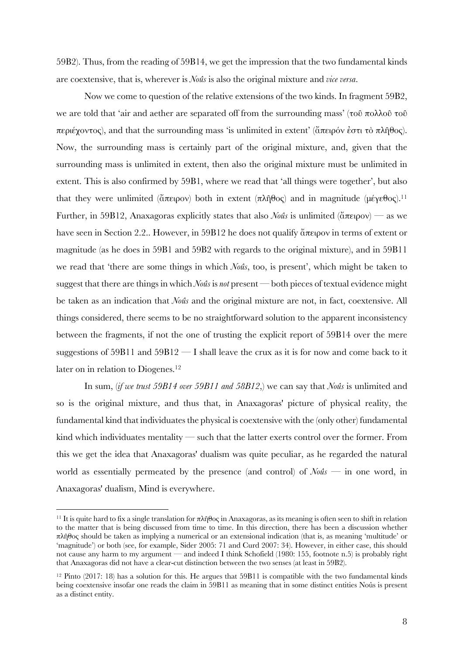59B2). Thus, from the reading of 59B14, we get the impression that the two fundamental kinds are coextensive, that is, wherever is *Noûs* is also the original mixture and *vice versa*.

Now we come to question of the relative extensions of the two kinds. In fragment 59B2, we are told that 'air and aether are separated off from the surrounding mass' (τοῦ πολλοῦ τοῦ περιέχοντος), and that the surrounding mass 'is unlimited in extent' (ἄπειρόν ἐστι τὸ πλῆθος). Now, the surrounding mass is certainly part of the original mixture, and, given that the surrounding mass is unlimited in extent, then also the original mixture must be unlimited in extent. This is also confirmed by 59B1, where we read that 'all things were together', but also that they were unlimited (άπειρον) both in extent (πλήθος) and in magnitude (μέγεθος).<sup>11</sup> Further, in 59B12, Anaxagoras explicitly states that also *Noûs* is unlimited (ἄπειρον) — as we have seen in Section 2.2.. However, in 59B12 he does not qualify ἄπειρον in terms of extent or magnitude (as he does in 59B1 and 59B2 with regards to the original mixture), and in 59B11 we read that 'there are some things in which *Noûs*, too, is present', which might be taken to suggest that there are things in which *Noûs* is *not* present — both pieces of textual evidence might be taken as an indication that *Noûs* and the original mixture are not, in fact, coextensive. All things considered, there seems to be no straightforward solution to the apparent inconsistency between the fragments, if not the one of trusting the explicit report of 59B14 over the mere suggestions of  $59B11$  and  $59B12 - I$  shall leave the crux as it is for now and come back to it later on in relation to Diogenes.<sup>12</sup>

In sum, (*if we trust 59B14 over 59B11 and 58B12*,) we can say that *Noûs* is unlimited and so is the original mixture, and thus that, in Anaxagoras' picture of physical reality, the fundamental kind that individuates the physical is coextensive with the (only other) fundamental kind which individuates mentality — such that the latter exerts control over the former. From this we get the idea that Anaxagoras' dualism was quite peculiar, as he regarded the natural world as essentially permeated by the presence (and control) of *Noûs* — in one word, in Anaxagoras' dualism, Mind is everywhere.

<sup>&</sup>lt;sup>11</sup> It is quite hard to fix a single translation for πλήθος in Anaxagoras, as its meaning is often seen to shift in relation to the matter that is being discussed from time to time. In this direction, there has been a discussion whether πλῆθος should be taken as implying a numerical or an extensional indication (that is, as meaning 'multitude' or 'magnitude') or both (see, for example, Sider 2005: 71 and Curd 2007: 34). However, in either case, this should not cause any harm to my argument — and indeed I think Schofield (1980: 155, footnote n.5) is probably right that Anaxagoras did not have a clear-cut distinction between the two senses (at least in 59B2).

<sup>12</sup> Pinto (2017: 18) has a solution for this. He argues that 59B11 is compatible with the two fundamental kinds being coextensive insofar one reads the claim in 59B11 as meaning that in some distinct entities Noûs is present as a distinct entity.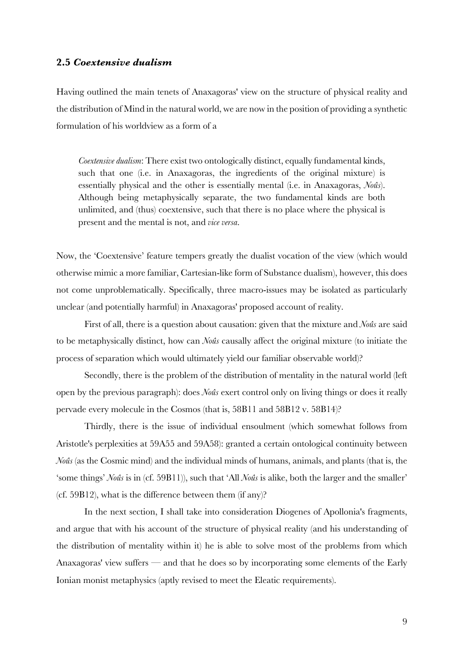#### **2.5** *Coextensive dualism*

Having outlined the main tenets of Anaxagoras' view on the structure of physical reality and the distribution of Mind in the natural world, we are now in the position of providing a synthetic formulation of his worldview as a form of a

*Coextensive dualism*: There exist two ontologically distinct, equally fundamental kinds, such that one (i.e. in Anaxagoras, the ingredients of the original mixture) is essentially physical and the other is essentially mental (i.e. in Anaxagoras, *Noûs*). Although being metaphysically separate, the two fundamental kinds are both unlimited, and (thus) coextensive, such that there is no place where the physical is present and the mental is not, and *vice versa*.

Now, the 'Coextensive' feature tempers greatly the dualist vocation of the view (which would otherwise mimic a more familiar, Cartesian-like form of Substance dualism), however, this does not come unproblematically. Specifically, three macro-issues may be isolated as particularly unclear (and potentially harmful) in Anaxagoras' proposed account of reality.

First of all, there is a question about causation: given that the mixture and *Noûs* are said to be metaphysically distinct, how can *Noûs* causally affect the original mixture (to initiate the process of separation which would ultimately yield our familiar observable world)?

Secondly, there is the problem of the distribution of mentality in the natural world (left open by the previous paragraph): does *Noûs* exert control only on living things or does it really pervade every molecule in the Cosmos (that is, 58B11 and 58B12 v. 58B14)?

Thirdly, there is the issue of individual ensoulment (which somewhat follows from Aristotle's perplexities at 59A55 and 59A58): granted a certain ontological continuity between *Noûs* (as the Cosmic mind) and the individual minds of humans, animals, and plants (that is, the 'some things' *Noûs* is in (cf. 59B11)), such that 'All *Noûs* is alike, both the larger and the smaller' (cf. 59B12), what is the difference between them (if any)?

In the next section, I shall take into consideration Diogenes of Apollonia's fragments, and argue that with his account of the structure of physical reality (and his understanding of the distribution of mentality within it) he is able to solve most of the problems from which Anaxagoras' view suffers — and that he does so by incorporating some elements of the Early Ionian monist metaphysics (aptly revised to meet the Eleatic requirements).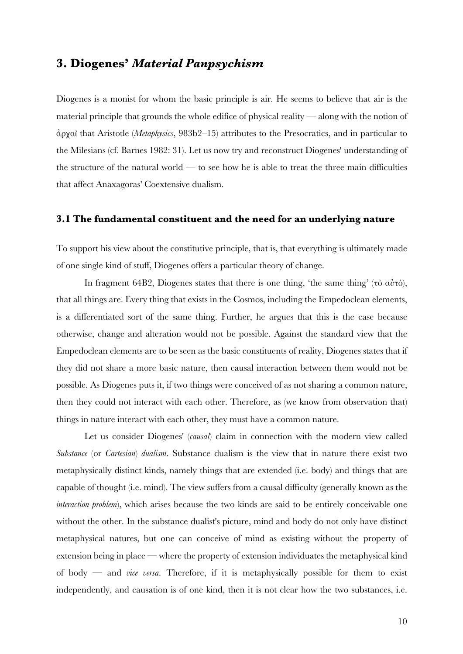## **3. Diogenes'** *Material Panpsychism*

Diogenes is a monist for whom the basic principle is air. He seems to believe that air is the material principle that grounds the whole edifice of physical reality  $-$  along with the notion of ἀρχαὶ that Aristotle (*Metaphysics*, 983b2–15) attributes to the Presocratics, and in particular to the Milesians (cf. Barnes 1982: 31). Let us now try and reconstruct Diogenes' understanding of the structure of the natural world  $-$  to see how he is able to treat the three main difficulties that affect Anaxagoras' Coextensive dualism.

#### **3.1 The fundamental constituent and the need for an underlying nature**

To support his view about the constitutive principle, that is, that everything is ultimately made of one single kind of stuff, Diogenes offers a particular theory of change.

In fragment 64B2, Diogenes states that there is one thing, 'the same thing' (τὸ αὐτὸ), that all things are. Every thing that exists in the Cosmos, including the Empedoclean elements, is a differentiated sort of the same thing. Further, he argues that this is the case because otherwise, change and alteration would not be possible. Against the standard view that the Empedoclean elements are to be seen as the basic constituents of reality, Diogenes states that if they did not share a more basic nature, then causal interaction between them would not be possible. As Diogenes puts it, if two things were conceived of as not sharing a common nature, then they could not interact with each other. Therefore, as (we know from observation that) things in nature interact with each other, they must have a common nature.

Let us consider Diogenes' (*causal*) claim in connection with the modern view called *Substance* (or *Cartesian*) *dualism*. Substance dualism is the view that in nature there exist two metaphysically distinct kinds, namely things that are extended (i.e. body) and things that are capable of thought (i.e. mind). The view suffers from a causal difficulty (generally known as the *interaction problem*), which arises because the two kinds are said to be entirely conceivable one without the other. In the substance dualist's picture, mind and body do not only have distinct metaphysical natures, but one can conceive of mind as existing without the property of extension being in place — where the property of extension individuates the metaphysical kind of body — and *vice versa*. Therefore, if it is metaphysically possible for them to exist independently, and causation is of one kind, then it is not clear how the two substances, i.e.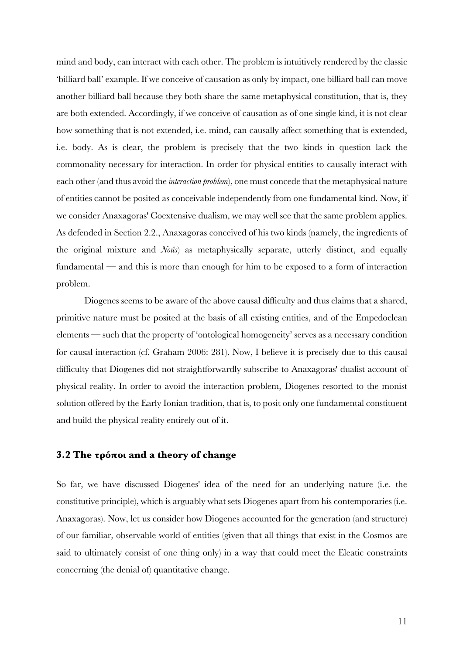mind and body, can interact with each other. The problem is intuitively rendered by the classic 'billiard ball' example. If we conceive of causation as only by impact, one billiard ball can move another billiard ball because they both share the same metaphysical constitution, that is, they are both extended. Accordingly, if we conceive of causation as of one single kind, it is not clear how something that is not extended, i.e. mind, can causally affect something that is extended, i.e. body. As is clear, the problem is precisely that the two kinds in question lack the commonality necessary for interaction. In order for physical entities to causally interact with each other (and thus avoid the *interaction problem*), one must concede that the metaphysical nature of entities cannot be posited as conceivable independently from one fundamental kind. Now, if we consider Anaxagoras' Coextensive dualism, we may well see that the same problem applies. As defended in Section 2.2., Anaxagoras conceived of his two kinds (namely, the ingredients of the original mixture and *Noûs*) as metaphysically separate, utterly distinct, and equally fundamental — and this is more than enough for him to be exposed to a form of interaction problem.

Diogenes seems to be aware of the above causal difficulty and thus claims that a shared, primitive nature must be posited at the basis of all existing entities, and of the Empedoclean elements — such that the property of 'ontological homogeneity' serves as a necessary condition for causal interaction (cf. Graham 2006: 281). Now, I believe it is precisely due to this causal difficulty that Diogenes did not straightforwardly subscribe to Anaxagoras' dualist account of physical reality. In order to avoid the interaction problem, Diogenes resorted to the monist solution offered by the Early Ionian tradition, that is, to posit only one fundamental constituent and build the physical reality entirely out of it.

#### **3.2 The τρόποι and a theory of change**

So far, we have discussed Diogenes' idea of the need for an underlying nature (i.e. the constitutive principle), which is arguably what sets Diogenes apart from his contemporaries (i.e. Anaxagoras). Now, let us consider how Diogenes accounted for the generation (and structure) of our familiar, observable world of entities (given that all things that exist in the Cosmos are said to ultimately consist of one thing only) in a way that could meet the Eleatic constraints concerning (the denial of) quantitative change.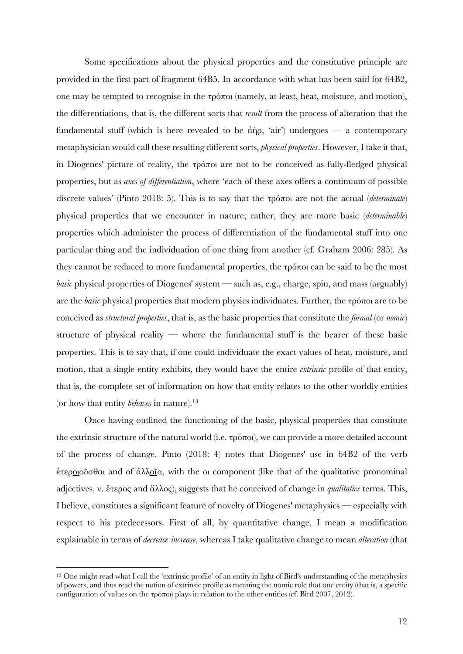Some specifications about the physical properties and the constitutive principle are provided in the first part of fragment 64B5. In accordance with what has been said for 64B2, one may be tempted to recognise in the τρόποι (namely, at least, heat, moisture, and motion), the differentiations, that is, the different sorts that *result* from the process of alteration that the fundamental stuff (which is here revealed to be ἀὴρ, 'air') undergoes — a contemporary metaphysician would call these resulting different sorts, *physical properties*. However, I take it that, in Diogenes' picture of reality, the τρόποι are not to be conceived as fully-fledged physical properties, but as *axes of differentiation*, where 'each of these axes offers a continuum of possible discrete values' (Pinto 2018: 5). This is to say that the τρόποι are not the actual (*determinate*) physical properties that we encounter in nature; rather, they are more basic (*determinable*) properties which administer the process of differentiation of the fundamental stuff into one particular thing and the individuation of one thing from another (cf. Graham 2006: 285). As they cannot be reduced to more fundamental properties, the τρόποι can be said to be the most *basic* physical properties of Diogenes' system — such as, e.g., charge, spin, and mass (arguably) are the *basic* physical properties that modern physics individuates. Further, the τρόποι are to be conceived as *structural properties*, that is, as the basic properties that constitute the *formal* (or *nomic*) structure of physical reality — where the fundamental stuff is the bearer of these basic properties. This is to say that, if one could individuate the exact values of heat, moisture, and motion, that a single entity exhibits, they would have the entire *extrinsic* profile of that entity, that is, the complete set of information on how that entity relates to the other worldly entities (or how that entity *behaves* in nature).13

Once having outlined the functioning of the basic, physical properties that constitute the extrinsic structure of the natural world (i.e. τρόποι), we can provide a more detailed account of the process of change. Pinto (2018: 4) notes that Diogenes' use in 64B2 of the verb ἑτεροιοῦσθαι and of ἀλλοῖα, with the οι component (like that of the qualitative pronominal adjectives, v. ἕτερος and ἄλλος), suggests that he conceived of change in *qualitative* terms. This, I believe, constitutes a significant feature of novelty of Diogenes' metaphysics — especially with respect to his predecessors. First of all, by quantitative change, I mean a modification explainable in terms of *decrease-increase*, whereas I take qualitative change to mean *alteration* (that

<sup>13</sup> One might read what I call the 'extrinsic profile' of an entity in light of Bird's understanding of the metaphysics of powers, and thus read the notion of extrinsic profile as meaning the nomic role that one entity (that is, a specific configuration of values on the τρόποι) plays in relation to the other entities (cf. Bird 2007, 2012).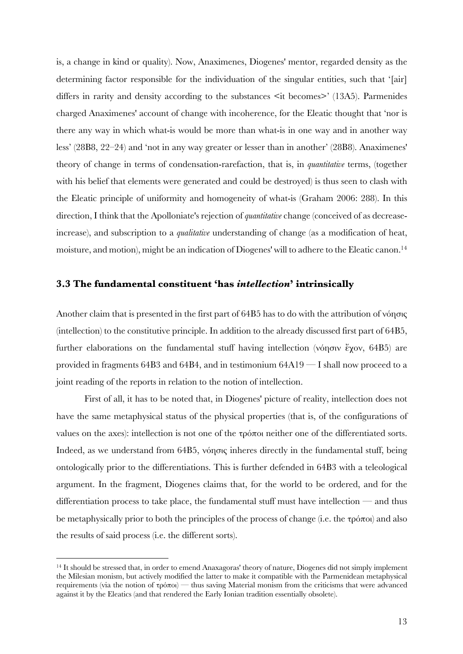is, a change in kind or quality). Now, Anaximenes, Diogenes' mentor, regarded density as the determining factor responsible for the individuation of the singular entities, such that '[air] differs in rarity and density according to the substances  $\leq$  it becomes $\geq$  (13A5). Parmenides charged Anaximenes' account of change with incoherence, for the Eleatic thought that 'nor is there any way in which what-is would be more than what-is in one way and in another way less' (28B8, 22–24) and 'not in any way greater or lesser than in another' (28B8). Anaximenes' theory of change in terms of condensation-rarefaction, that is, in *quantitative* terms, (together with his belief that elements were generated and could be destroyed) is thus seen to clash with the Eleatic principle of uniformity and homogeneity of what-is (Graham 2006: 288). In this direction, I think that the Apolloniate's rejection of *quantitative* change (conceived of as decreaseincrease), and subscription to a *qualitative* understanding of change (as a modification of heat, moisture, and motion), might be an indication of Diogenes' will to adhere to the Eleatic canon. 14

#### **3.3 The fundamental constituent 'has** *intellection***' intrinsically**

Another claim that is presented in the first part of 64B5 has to do with the attribution of νόησις (intellection) to the constitutive principle. In addition to the already discussed first part of 64B5, further elaborations on the fundamental stuff having intellection (νόησιν ἔχον, 64B5) are provided in fragments 64B3 and 64B4, and in testimonium 64A19 — I shall now proceed to a joint reading of the reports in relation to the notion of intellection.

First of all, it has to be noted that, in Diogenes' picture of reality, intellection does not have the same metaphysical status of the physical properties (that is, of the configurations of values on the axes): intellection is not one of the τρόποι neither one of the differentiated sorts. Indeed, as we understand from 64B5, νόησις inheres directly in the fundamental stuff, being ontologically prior to the differentiations. This is further defended in 64B3 with a teleological argument. In the fragment, Diogenes claims that, for the world to be ordered, and for the differentiation process to take place, the fundamental stuff must have intellection — and thus be metaphysically prior to both the principles of the process of change (i.e. the τρόποι) and also the results of said process (i.e. the different sorts).

<sup>14</sup> It should be stressed that, in order to emend Anaxagoras' theory of nature, Diogenes did not simply implement the Milesian monism, but actively modified the latter to make it compatible with the Parmenidean metaphysical requirements (via the notion of τρόποι) — thus saving Material monism from the criticisms that were advanced against it by the Eleatics (and that rendered the Early Ionian tradition essentially obsolete).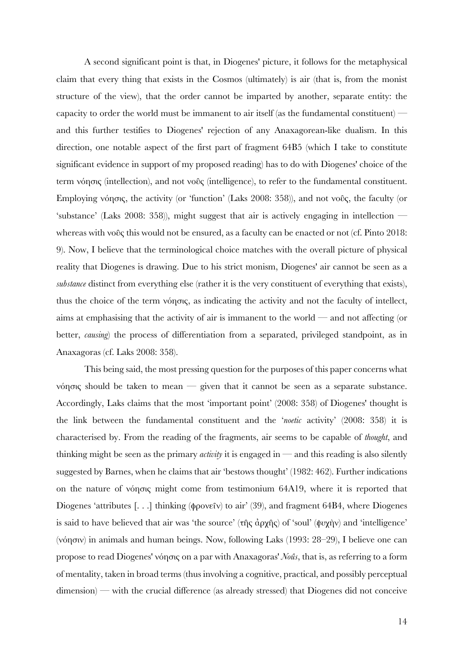A second significant point is that, in Diogenes' picture, it follows for the metaphysical claim that every thing that exists in the Cosmos (ultimately) is air (that is, from the monist structure of the view), that the order cannot be imparted by another, separate entity: the capacity to order the world must be immanent to air itself (as the fundamental constituent) and this further testifies to Diogenes' rejection of any Anaxagorean-like dualism. In this direction, one notable aspect of the first part of fragment 64B5 (which I take to constitute significant evidence in support of my proposed reading) has to do with Diogenes' choice of the term νόησις (intellection), and not νοῦς (intelligence), to refer to the fundamental constituent. Employing νόησις, the activity (or 'function' (Laks 2008: 358)), and not νοῦς, the faculty (or 'substance' (Laks 2008: 358)), might suggest that air is actively engaging in intellection whereas with νοῦς this would not be ensured, as a faculty can be enacted or not (cf. Pinto 2018: 9). Now, I believe that the terminological choice matches with the overall picture of physical reality that Diogenes is drawing. Due to his strict monism, Diogenes' air cannot be seen as a *substance* distinct from everything else (rather it is the very constituent of everything that exists), thus the choice of the term νόησις, as indicating the activity and not the faculty of intellect, aims at emphasising that the activity of air is immanent to the world — and not affecting (or better, *causing*) the process of differentiation from a separated, privileged standpoint, as in Anaxagoras (cf. Laks 2008: 358).

This being said, the most pressing question for the purposes of this paper concerns what νόησις should be taken to mean — given that it cannot be seen as a separate substance. Accordingly, Laks claims that the most 'important point' (2008: 358) of Diogenes' thought is the link between the fundamental constituent and the '*noetic* activity' (2008: 358) it is characterised by. From the reading of the fragments, air seems to be capable of *thought*, and thinking might be seen as the primary *activity* it is engaged in — and this reading is also silently suggested by Barnes, when he claims that air 'bestows thought' (1982: 462). Further indications on the nature of νόησις might come from testimonium 64A19, where it is reported that Diogenes 'attributes [. . .] thinking (φρονεῖν) to air' (39), and fragment 64B4, where Diogenes is said to have believed that air was 'the source' (τῆς ἀρχῆς) of 'soul' (ψυχὴν) and 'intelligence' (νόησιν) in animals and human beings. Now, following Laks (1993: 28–29), I believe one can propose to read Diogenes' νόησις on a par with Anaxagoras' *Noûs*, that is, as referring to a form of mentality, taken in broad terms (thus involving a cognitive, practical, and possibly perceptual dimension) — with the crucial difference (as already stressed) that Diogenes did not conceive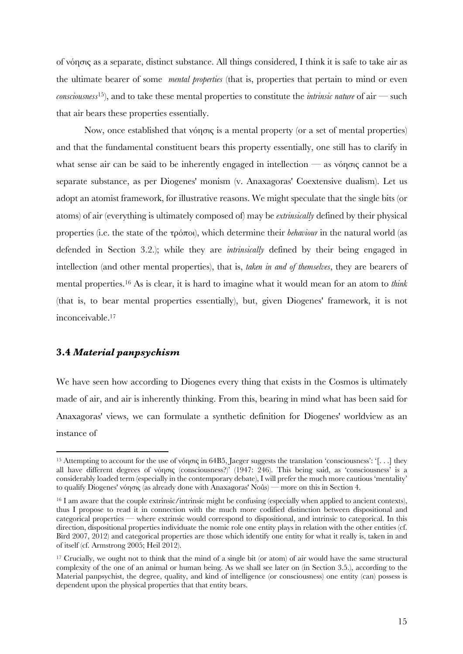of νόησις as a separate, distinct substance. All things considered, I think it is safe to take air as the ultimate bearer of some *mental properties* (that is, properties that pertain to mind or even *consciousness*<sup>15</sup>), and to take these mental properties to constitute the *intrinsic nature* of air — such that air bears these properties essentially.

Now, once established that νόησις is a mental property (or a set of mental properties) and that the fundamental constituent bears this property essentially, one still has to clarify in what sense air can be said to be inherently engaged in intellection — as νόησις cannot be a separate substance, as per Diogenes' monism (v. Anaxagoras' Coextensive dualism). Let us adopt an atomist framework, for illustrative reasons. We might speculate that the single bits (or atoms) of air (everything is ultimately composed of) may be *extrinsically* defined by their physical properties (i.e. the state of the τρόποι), which determine their *behaviour* in the natural world (as defended in Section 3.2.); while they are *intrinsically* defined by their being engaged in intellection (and other mental properties), that is, *taken in and of themselves*, they are bearers of mental properties.16 As is clear, it is hard to imagine what it would mean for an atom to *think* (that is, to bear mental properties essentially), but, given Diogenes' framework, it is not inconceivable.17

#### **3.4** *Material panpsychism*

We have seen how according to Diogenes every thing that exists in the Cosmos is ultimately made of air, and air is inherently thinking. From this, bearing in mind what has been said for Anaxagoras' views, we can formulate a synthetic definition for Diogenes' worldview as an instance of

<sup>15</sup> Attempting to account for the use of νόησις in 64B5, Jaeger suggests the translation 'consciousness': '[. . .] they all have different degrees of νόησις (consciousness?)' (1947: 246). This being said, as 'consciousness' is a considerably loaded term (especially in the contemporary debate), I will prefer the much more cautious 'mentality' to qualify Diogenes' νόησις (as already done with Anaxagoras' Noûs) — more on this in Section 4.

<sup>16</sup> I am aware that the couple extrinsic/intrinsic might be confusing (especially when applied to ancient contexts), thus I propose to read it in connection with the much more codified distinction between dispositional and categorical properties — where extrinsic would correspond to dispositional, and intrinsic to categorical. In this direction, dispositional properties individuate the nomic role one entity plays in relation with the other entities (cf. Bird 2007, 2012) and categorical properties are those which identify one entity for what it really is, taken in and of itself (cf. Armstrong 2005; Heil 2012).

<sup>&</sup>lt;sup>17</sup> Crucially, we ought not to think that the mind of a single bit (or atom) of air would have the same structural complexity of the one of an animal or human being. As we shall see later on (in Section 3.5.), according to the Material panpsychist, the degree, quality, and kind of intelligence (or consciousness) one entity (can) possess is dependent upon the physical properties that that entity bears.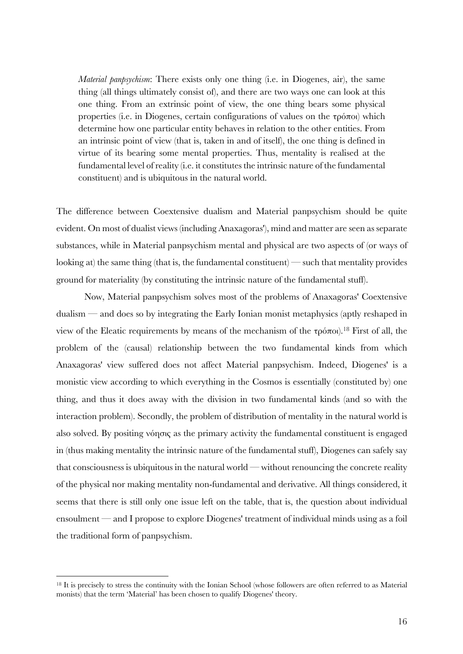*Material panpsychism*: There exists only one thing (i.e. in Diogenes, air), the same thing (all things ultimately consist of), and there are two ways one can look at this one thing. From an extrinsic point of view, the one thing bears some physical properties (i.e. in Diogenes, certain configurations of values on the τρόποι) which determine how one particular entity behaves in relation to the other entities. From an intrinsic point of view (that is, taken in and of itself), the one thing is defined in virtue of its bearing some mental properties. Thus, mentality is realised at the fundamental level of reality (i.e. it constitutes the intrinsic nature of the fundamental constituent) and is ubiquitous in the natural world.

The difference between Coextensive dualism and Material panpsychism should be quite evident. On most of dualist views (including Anaxagoras'), mind and matter are seen as separate substances, while in Material panpsychism mental and physical are two aspects of (or ways of looking at) the same thing (that is, the fundamental constituent) — such that mentality provides ground for materiality (by constituting the intrinsic nature of the fundamental stuff).

Now, Material panpsychism solves most of the problems of Anaxagoras' Coextensive dualism — and does so by integrating the Early Ionian monist metaphysics (aptly reshaped in view of the Eleatic requirements by means of the mechanism of the τρόποι).18 First of all, the problem of the (causal) relationship between the two fundamental kinds from which Anaxagoras' view suffered does not affect Material panpsychism. Indeed, Diogenes' is a monistic view according to which everything in the Cosmos is essentially (constituted by) one thing, and thus it does away with the division in two fundamental kinds (and so with the interaction problem). Secondly, the problem of distribution of mentality in the natural world is also solved. By positing νόησις as the primary activity the fundamental constituent is engaged in (thus making mentality the intrinsic nature of the fundamental stuff), Diogenes can safely say that consciousness is ubiquitous in the natural world — without renouncing the concrete reality of the physical nor making mentality non-fundamental and derivative. All things considered, it seems that there is still only one issue left on the table, that is, the question about individual ensoulment — and I propose to explore Diogenes' treatment of individual minds using as a foil the traditional form of panpsychism.

<sup>18</sup> It is precisely to stress the continuity with the Ionian School (whose followers are often referred to as Material monists) that the term 'Material' has been chosen to qualify Diogenes' theory.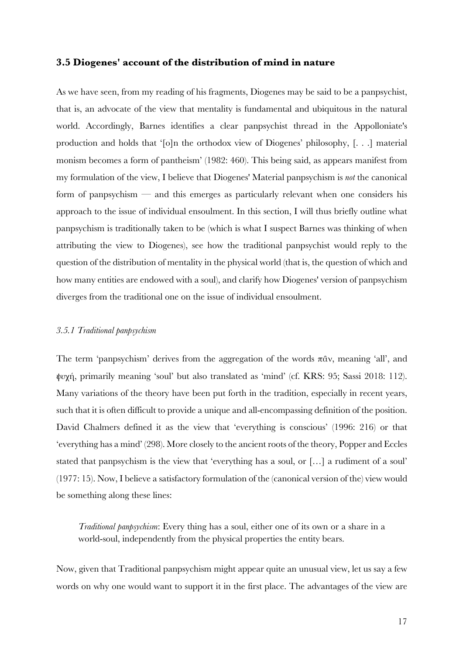#### **3.5 Diogenes' account of the distribution of mind in nature**

As we have seen, from my reading of his fragments, Diogenes may be said to be a panpsychist, that is, an advocate of the view that mentality is fundamental and ubiquitous in the natural world. Accordingly, Barnes identifies a clear panpsychist thread in the Appolloniate's production and holds that '[o]n the orthodox view of Diogenes' philosophy, [. . .] material monism becomes a form of pantheism' (1982: 460). This being said, as appears manifest from my formulation of the view, I believe that Diogenes' Material panpsychism is *not* the canonical form of panpsychism — and this emerges as particularly relevant when one considers his approach to the issue of individual ensoulment. In this section, I will thus briefly outline what panpsychism is traditionally taken to be (which is what I suspect Barnes was thinking of when attributing the view to Diogenes), see how the traditional panpsychist would reply to the question of the distribution of mentality in the physical world (that is, the question of which and how many entities are endowed with a soul), and clarify how Diogenes' version of panpsychism diverges from the traditional one on the issue of individual ensoulment.

#### *3.5.1 Traditional panpsychism*

The term 'panpsychism' derives from the aggregation of the words  $\pi \hat{\alpha} v$ , meaning 'all', and ψυχή, primarily meaning 'soul' but also translated as 'mind' (cf. KRS: 95; Sassi 2018: 112). Many variations of the theory have been put forth in the tradition, especially in recent years, such that it is often difficult to provide a unique and all-encompassing definition of the position. David Chalmers defined it as the view that 'everything is conscious' (1996: 216) or that 'everything has a mind' (298). More closely to the ancient roots of the theory, Popper and Eccles stated that panpsychism is the view that 'everything has a soul, or […] a rudiment of a soul' (1977: 15). Now, I believe a satisfactory formulation of the (canonical version of the) view would be something along these lines:

*Traditional panpsychism*: Every thing has a soul, either one of its own or a share in a world-soul, independently from the physical properties the entity bears.

Now, given that Traditional panpsychism might appear quite an unusual view, let us say a few words on why one would want to support it in the first place. The advantages of the view are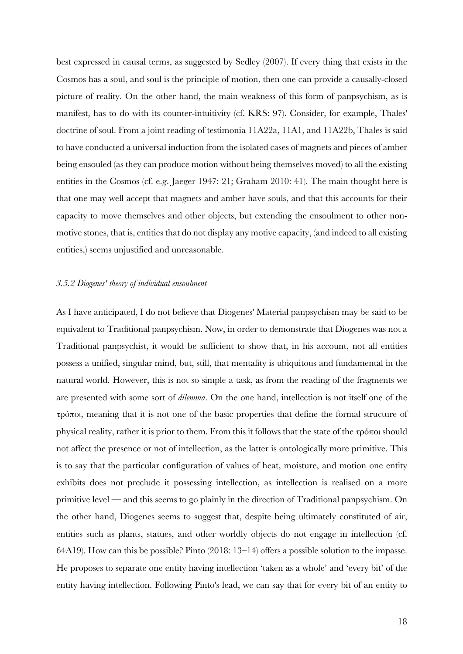best expressed in causal terms, as suggested by Sedley (2007). If every thing that exists in the Cosmos has a soul, and soul is the principle of motion, then one can provide a causally-closed picture of reality. On the other hand, the main weakness of this form of panpsychism, as is manifest, has to do with its counter-intuitivity (cf. KRS: 97). Consider, for example, Thales' doctrine of soul. From a joint reading of testimonia 11A22a, 11A1, and 11A22b, Thales is said to have conducted a universal induction from the isolated cases of magnets and pieces of amber being ensouled (as they can produce motion without being themselves moved) to all the existing entities in the Cosmos (cf. e.g. Jaeger 1947: 21; Graham 2010: 41). The main thought here is that one may well accept that magnets and amber have souls, and that this accounts for their capacity to move themselves and other objects, but extending the ensoulment to other nonmotive stones, that is, entities that do not display any motive capacity, (and indeed to all existing entities,) seems unjustified and unreasonable.

#### *3.5.2 Diogenes' theory of individual ensoulment*

As I have anticipated, I do not believe that Diogenes' Material panpsychism may be said to be equivalent to Traditional panpsychism. Now, in order to demonstrate that Diogenes was not a Traditional panpsychist, it would be sufficient to show that, in his account, not all entities possess a unified, singular mind, but, still, that mentality is ubiquitous and fundamental in the natural world. However, this is not so simple a task, as from the reading of the fragments we are presented with some sort of *dilemma*. On the one hand, intellection is not itself one of the τρόποι, meaning that it is not one of the basic properties that define the formal structure of physical reality, rather it is prior to them. From this it follows that the state of the τρόποι should not affect the presence or not of intellection, as the latter is ontologically more primitive. This is to say that the particular configuration of values of heat, moisture, and motion one entity exhibits does not preclude it possessing intellection, as intellection is realised on a more primitive level — and this seems to go plainly in the direction of Traditional panpsychism. On the other hand, Diogenes seems to suggest that, despite being ultimately constituted of air, entities such as plants, statues, and other worldly objects do not engage in intellection (cf. 64A19). How can this be possible? Pinto (2018: 13–14) offers a possible solution to the impasse. He proposes to separate one entity having intellection 'taken as a whole' and 'every bit' of the entity having intellection. Following Pinto's lead, we can say that for every bit of an entity to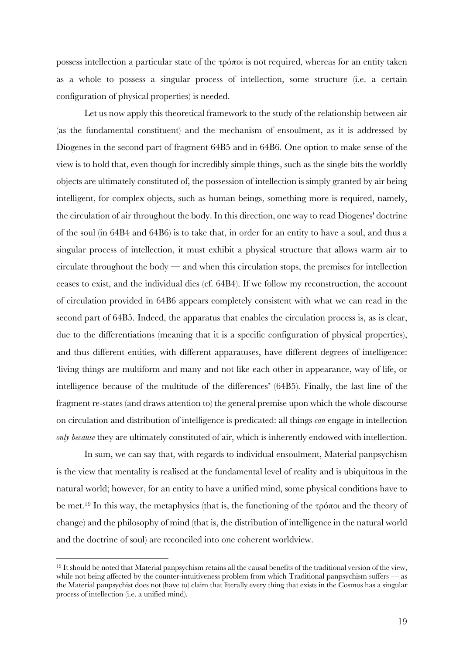possess intellection a particular state of the τρόποι is not required, whereas for an entity taken as a whole to possess a singular process of intellection, some structure (i.e. a certain configuration of physical properties) is needed.

Let us now apply this theoretical framework to the study of the relationship between air (as the fundamental constituent) and the mechanism of ensoulment, as it is addressed by Diogenes in the second part of fragment 64B5 and in 64B6. One option to make sense of the view is to hold that, even though for incredibly simple things, such as the single bits the worldly objects are ultimately constituted of, the possession of intellection is simply granted by air being intelligent, for complex objects, such as human beings, something more is required, namely, the circulation of air throughout the body. In this direction, one way to read Diogenes' doctrine of the soul (in 64B4 and 64B6) is to take that, in order for an entity to have a soul, and thus a singular process of intellection, it must exhibit a physical structure that allows warm air to  $circ$  circulate throughout the body — and when this circulation stops, the premises for intellection ceases to exist, and the individual dies (cf. 64B4). If we follow my reconstruction, the account of circulation provided in 64B6 appears completely consistent with what we can read in the second part of 64B5. Indeed, the apparatus that enables the circulation process is, as is clear, due to the differentiations (meaning that it is a specific configuration of physical properties), and thus different entities, with different apparatuses, have different degrees of intelligence: 'living things are multiform and many and not like each other in appearance, way of life, or intelligence because of the multitude of the differences' (64B5). Finally, the last line of the fragment re-states (and draws attention to) the general premise upon which the whole discourse on circulation and distribution of intelligence is predicated: all things *can* engage in intellection *only because* they are ultimately constituted of air, which is inherently endowed with intellection.

In sum, we can say that, with regards to individual ensoulment, Material panpsychism is the view that mentality is realised at the fundamental level of reality and is ubiquitous in the natural world; however, for an entity to have a unified mind, some physical conditions have to be met.19 In this way, the metaphysics (that is, the functioning of the τρόποι and the theory of change) and the philosophy of mind (that is, the distribution of intelligence in the natural world and the doctrine of soul) are reconciled into one coherent worldview.

<sup>19</sup> It should be noted that Material panpsychism retains all the causal benefits of the traditional version of the view, while not being affected by the counter-intuitiveness problem from which Traditional panpsychism suffers — as the Material panpsychist does not (have to) claim that literally every thing that exists in the Cosmos has a singular process of intellection (i.e. a unified mind).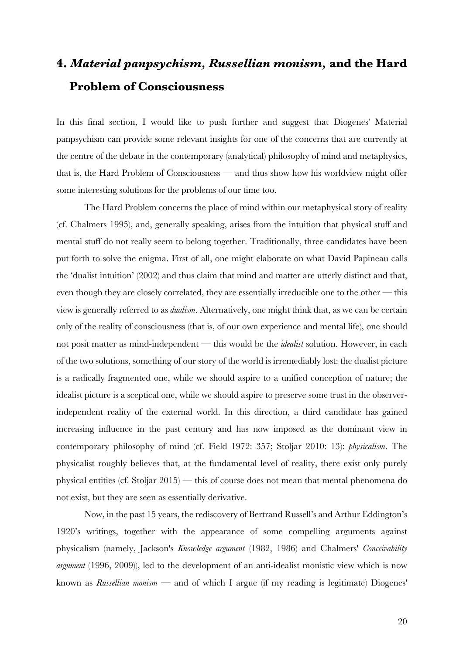# **4.** *Material panpsychism, Russellian monism,* **and the Hard Problem of Consciousness**

In this final section, I would like to push further and suggest that Diogenes' Material panpsychism can provide some relevant insights for one of the concerns that are currently at the centre of the debate in the contemporary (analytical) philosophy of mind and metaphysics, that is, the Hard Problem of Consciousness — and thus show how his worldview might offer some interesting solutions for the problems of our time too.

The Hard Problem concerns the place of mind within our metaphysical story of reality (cf. Chalmers 1995), and, generally speaking, arises from the intuition that physical stuff and mental stuff do not really seem to belong together. Traditionally, three candidates have been put forth to solve the enigma. First of all, one might elaborate on what David Papineau calls the 'dualist intuition' (2002) and thus claim that mind and matter are utterly distinct and that, even though they are closely correlated, they are essentially irreducible one to the other — this view is generally referred to as *dualism*. Alternatively, one might think that, as we can be certain only of the reality of consciousness (that is, of our own experience and mental life), one should not posit matter as mind-independent — this would be the *idealist* solution. However, in each of the two solutions, something of our story of the world is irremediably lost: the dualist picture is a radically fragmented one, while we should aspire to a unified conception of nature; the idealist picture is a sceptical one, while we should aspire to preserve some trust in the observerindependent reality of the external world. In this direction, a third candidate has gained increasing influence in the past century and has now imposed as the dominant view in contemporary philosophy of mind (cf. Field 1972: 357; Stoljar 2010: 13): *physicalism*. The physicalist roughly believes that, at the fundamental level of reality, there exist only purely physical entities (cf. Stoljar  $2015$ ) — this of course does not mean that mental phenomena do not exist, but they are seen as essentially derivative.

Now, in the past 15 years, the rediscovery of Bertrand Russell's and Arthur Eddington's 1920's writings, together with the appearance of some compelling arguments against physicalism (namely, Jackson's *Knowledge argument* (1982, 1986) and Chalmers' *Conceivability argument* (1996, 2009)), led to the development of an anti-idealist monistic view which is now known as *Russellian monism* — and of which I argue (if my reading is legitimate) Diogenes'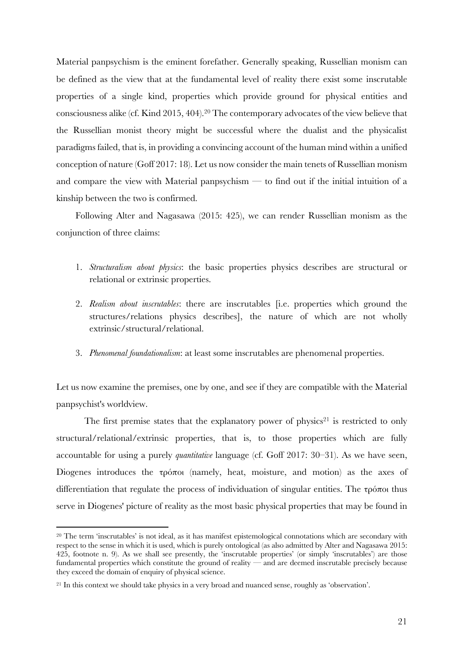Material panpsychism is the eminent forefather. Generally speaking, Russellian monism can be defined as the view that at the fundamental level of reality there exist some inscrutable properties of a single kind, properties which provide ground for physical entities and consciousness alike (cf. Kind 2015, 404).20 The contemporary advocates of the view believe that the Russellian monist theory might be successful where the dualist and the physicalist paradigms failed, that is, in providing a convincing account of the human mind within a unified conception of nature (Goff 2017: 18). Let us now consider the main tenets of Russellian monism and compare the view with Material panpsychism — to find out if the initial intuition of a kinship between the two is confirmed.

Following Alter and Nagasawa (2015: 425), we can render Russellian monism as the conjunction of three claims:

- 1. *Structuralism about physics*: the basic properties physics describes are structural or relational or extrinsic properties.
- 2. *Realism about inscrutables*: there are inscrutables [i.e. properties which ground the structures/relations physics describes], the nature of which are not wholly extrinsic/structural/relational.
- 3. *Phenomenal foundationalism*: at least some inscrutables are phenomenal properties.

Let us now examine the premises, one by one, and see if they are compatible with the Material panpsychist's worldview.

The first premise states that the explanatory power of physics<sup>21</sup> is restricted to only structural/relational/extrinsic properties, that is, to those properties which are fully accountable for using a purely *quantitative* language (cf. Goff 2017: 30–31). As we have seen, Diogenes introduces the τρόποι (namely, heat, moisture, and motion) as the axes of differentiation that regulate the process of individuation of singular entities. The τρόποι thus serve in Diogenes' picture of reality as the most basic physical properties that may be found in

<sup>20</sup> The term 'inscrutables' is not ideal, as it has manifest epistemological connotations which are secondary with respect to the sense in which it is used, which is purely ontological (as also admitted by Alter and Nagasawa 2015: 425, footnote n. 9). As we shall see presently, the 'inscrutable properties' (or simply 'inscrutables') are those fundamental properties which constitute the ground of reality — and are deemed inscrutable precisely because they exceed the domain of enquiry of physical science.

<sup>21</sup> In this context we should take physics in a very broad and nuanced sense, roughly as 'observation'.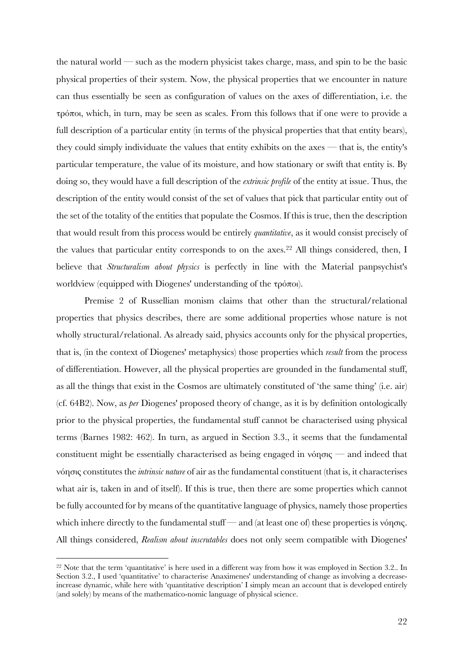the natural world — such as the modern physicist takes charge, mass, and spin to be the basic physical properties of their system. Now, the physical properties that we encounter in nature can thus essentially be seen as configuration of values on the axes of differentiation, i.e. the τρόποι, which, in turn, may be seen as scales. From this follows that if one were to provide a full description of a particular entity (in terms of the physical properties that that entity bears), they could simply individuate the values that entity exhibits on the axes — that is, the entity's particular temperature, the value of its moisture, and how stationary or swift that entity is. By doing so, they would have a full description of the *extrinsic profile* of the entity at issue. Thus, the description of the entity would consist of the set of values that pick that particular entity out of the set of the totality of the entities that populate the Cosmos. If this is true, then the description that would result from this process would be entirely *quantitative*, as it would consist precisely of the values that particular entity corresponds to on the axes.<sup>22</sup> All things considered, then, I believe that *Structuralism about physics* is perfectly in line with the Material panpsychist's worldview (equipped with Diogenes' understanding of the τρόποι).

Premise 2 of Russellian monism claims that other than the structural/relational properties that physics describes, there are some additional properties whose nature is not wholly structural/relational. As already said, physics accounts only for the physical properties, that is, (in the context of Diogenes' metaphysics) those properties which *result* from the process of differentiation. However, all the physical properties are grounded in the fundamental stuff, as all the things that exist in the Cosmos are ultimately constituted of 'the same thing' (i.e. air) (cf. 64B2). Now, as *per* Diogenes' proposed theory of change, as it is by definition ontologically prior to the physical properties, the fundamental stuff cannot be characterised using physical terms (Barnes 1982: 462). In turn, as argued in Section 3.3., it seems that the fundamental constituent might be essentially characterised as being engaged in νόησις — and indeed that νόησις constitutes the *intrinsic nature* of air as the fundamental constituent (that is, it characterises what air is, taken in and of itself). If this is true, then there are some properties which cannot be fully accounted for by means of the quantitative language of physics, namely those properties which inhere directly to the fundamental stuff — and (at least one of) these properties is νόησις. All things considered, *Realism about inscrutables* does not only seem compatible with Diogenes'

<sup>&</sup>lt;sup>22</sup> Note that the term 'quantitative' is here used in a different way from how it was employed in Section 3.2.. In Section 3.2., I used 'quantitative' to characterise Anaximenes' understanding of change as involving a decreaseincrease dynamic, while here with 'quantitative description' I simply mean an account that is developed entirely (and solely) by means of the mathematico-nomic language of physical science.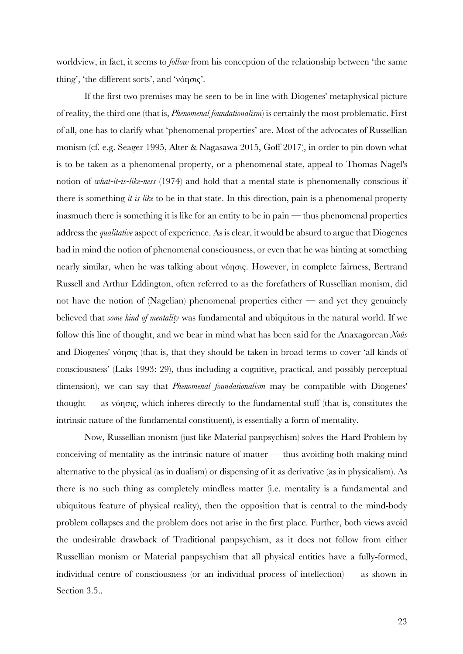worldview, in fact, it seems to *follow* from his conception of the relationship between 'the same thing', 'the different sorts', and 'νόησις'.

If the first two premises may be seen to be in line with Diogenes' metaphysical picture of reality, the third one (that is, *Phenomenal foundationalism*) is certainly the most problematic. First of all, one has to clarify what 'phenomenal properties' are. Most of the advocates of Russellian monism (cf. e.g. Seager 1995, Alter & Nagasawa 2015, Goff 2017), in order to pin down what is to be taken as a phenomenal property, or a phenomenal state, appeal to Thomas Nagel's notion of *what-it-is-like-ness* (1974) and hold that a mental state is phenomenally conscious if there is something *it is like* to be in that state. In this direction, pain is a phenomenal property inasmuch there is something it is like for an entity to be in pain — thus phenomenal properties address the *qualitative* aspect of experience. As is clear, it would be absurd to argue that Diogenes had in mind the notion of phenomenal consciousness, or even that he was hinting at something nearly similar, when he was talking about νόησις. However, in complete fairness, Bertrand Russell and Arthur Eddington, often referred to as the forefathers of Russellian monism, did not have the notion of (Nagelian) phenomenal properties either  $-$  and yet they genuinely believed that *some kind of mentality* was fundamental and ubiquitous in the natural world. If we follow this line of thought, and we bear in mind what has been said for the Anaxagorean *Noûs* and Diogenes' νόησις (that is, that they should be taken in broad terms to cover 'all kinds of consciousness' (Laks 1993: 29), thus including a cognitive, practical, and possibly perceptual dimension), we can say that *Phenomenal foundationalism* may be compatible with Diogenes' thought — as νόησις, which inheres directly to the fundamental stuff (that is, constitutes the intrinsic nature of the fundamental constituent), is essentially a form of mentality.

Now, Russellian monism (just like Material panpsychism) solves the Hard Problem by conceiving of mentality as the intrinsic nature of matter — thus avoiding both making mind alternative to the physical (as in dualism) or dispensing of it as derivative (as in physicalism). As there is no such thing as completely mindless matter (i.e. mentality is a fundamental and ubiquitous feature of physical reality), then the opposition that is central to the mind-body problem collapses and the problem does not arise in the first place. Further, both views avoid the undesirable drawback of Traditional panpsychism, as it does not follow from either Russellian monism or Material panpsychism that all physical entities have a fully-formed, individual centre of consciousness (or an individual process of intellection) — as shown in Section 3.5..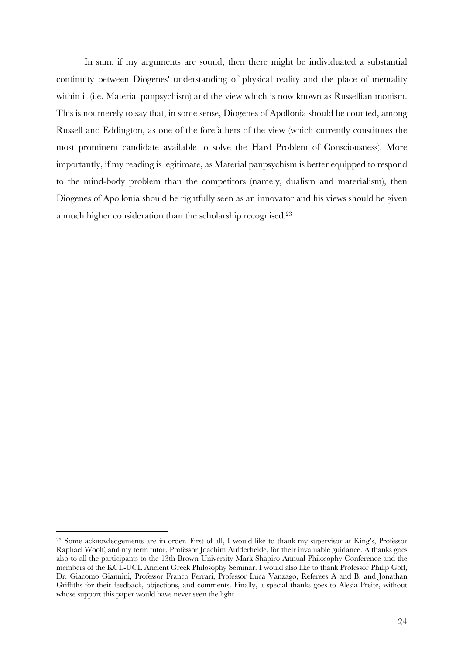In sum, if my arguments are sound, then there might be individuated a substantial continuity between Diogenes' understanding of physical reality and the place of mentality within it (i.e. Material panpsychism) and the view which is now known as Russellian monism. This is not merely to say that, in some sense, Diogenes of Apollonia should be counted, among Russell and Eddington, as one of the forefathers of the view (which currently constitutes the most prominent candidate available to solve the Hard Problem of Consciousness). More importantly, if my reading is legitimate, as Material panpsychism is better equipped to respond to the mind-body problem than the competitors (namely, dualism and materialism), then Diogenes of Apollonia should be rightfully seen as an innovator and his views should be given a much higher consideration than the scholarship recognised.23

<sup>23</sup> Some acknowledgements are in order. First of all, I would like to thank my supervisor at King's, Professor Raphael Woolf, and my term tutor, Professor Joachim Aufderheide, for their invaluable guidance. A thanks goes also to all the participants to the 13th Brown University Mark Shapiro Annual Philosophy Conference and the members of the KCL-UCL Ancient Greek Philosophy Seminar. I would also like to thank Professor Philip Goff, Dr. Giacomo Giannini, Professor Franco Ferrari, Professor Luca Vanzago, Referees A and B, and Jonathan Griffiths for their feedback, objections, and comments. Finally, a special thanks goes to Alesia Preite, without whose support this paper would have never seen the light.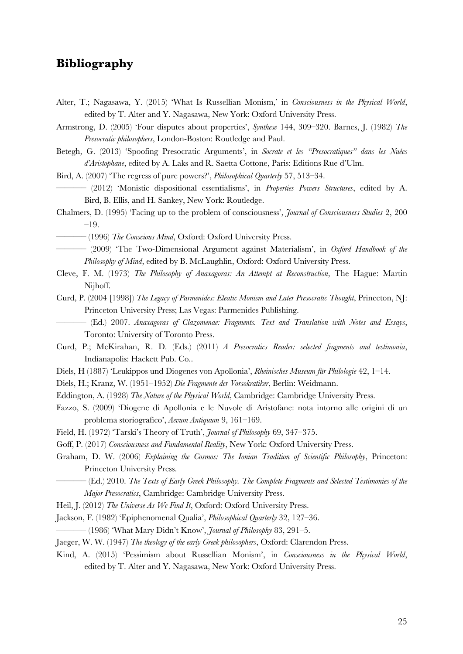## **Bibliography**

- Alter, T.; Nagasawa, Y. (2015) 'What Is Russellian Monism,' in *Consciousness in the Physical World*, edited by T. Alter and Y. Nagasawa, New York: Oxford University Press.
- Armstrong, D. (2005) 'Four disputes about properties', *Synthese* 144, 309–320. Barnes, J. (1982) *The Presocratic philosophers*, London-Boston: Routledge and Paul.
- Betegh, G. (2013) 'Spoofing Presocratic Arguments', in *Socrate et les "Presocratiques" dans les Nuées d'Aristophane*, edited by A. Laks and R. Saetta Cottone, Paris: Editions Rue d'Ulm.

Bird, A. (2007) 'The regress of pure powers?', *Philosophical Quarterly* 57, 513–34.

———– (2012) 'Monistic dispositional essentialisms', in *Properties Powers Structures*, edited by A. Bird, B. Ellis, and H. Sankey, New York: Routledge.

- Chalmers, D. (1995) 'Facing up to the problem of consciousness', *Journal of Consciousness Studies* 2, 200 –19.
- ———– (1996) *The Conscious Mind*, Oxford: Oxford University Press.
- ———– (2009) 'The Two-Dimensional Argument against Materialism', in *Oxford Handbook of the Philosophy of Mind*, edited by B. McLaughlin, Oxford: Oxford University Press.
- Cleve, F. M. (1973) *The Philosophy of Anaxagoras: An Attempt at Reconstruction*, The Hague: Martin Nijhoff.
- Curd, P. (2004 [1998]) *The Legacy of Parmenides: Eleatic Monism and Later Presocratic Thought*, Princeton, NJ: Princeton University Press; Las Vegas: Parmenides Publishing.
	- ———– (Ed.) 2007. *Anaxagoras of Clazomenae: Fragments. Text and Translation with Notes and Essays*, Toronto: University of Toronto Press.
- Curd, P.; McKirahan, R. D. (Eds.) (2011) *A Presocratics Reader: selected fragments and testimonia*, Indianapolis: Hackett Pub. Co..
- Diels, H (1887) 'Leukippos und Diogenes von Apollonia', *Rheinisches Museum für Philologie* 42, 1–14.
- Diels, H.; Kranz, W. (1951–1952) *Die Fragmente der Vorsokratiker*, Berlin: Weidmann.
- Eddington, A. (1928) *The Nature of the Physical World*, Cambridge: Cambridge University Press.
- Fazzo, S. (2009) 'Diogene di Apollonia e le Nuvole di Aristofane: nota intorno alle origini di un problema storiografico', *Aevum Antiquum* 9, 161–169.
- Field, H. (1972) 'Tarski's Theory of Truth', *Journal of Philosophy* 69, 347–375.
- Goff, P. (2017) *Consciousness and Fundamental Reality*, New York: Oxford University Press.
- Graham, D. W. (2006) *Explaining the Cosmos: The Ionian Tradition of Scientific Philosophy*, Princeton: Princeton University Press.
	- ———– (Ed.) 2010. *The Texts of Early Greek Philosophy. The Complete Fragments and Selected Testimonies of the Major Presocratics*, Cambridge: Cambridge University Press.
- Heil, J. (2012) *The Universe As We Find It*, Oxford: Oxford University Press.
- Jackson, F. (1982) 'Epiphenomenal Qualia', *Philosophical Quarterly* 32, 127–36.
- ———– (1986) 'What Mary Didn't Know', *Journal of Philosophy* 83, 291–5.
- Jaeger, W. W. (1947) *The theology of the early Greek philosophers*, Oxford: Clarendon Press.
- Kind, A. (2015) 'Pessimism about Russellian Monism', in *Consciousness in the Physical World*, edited by T. Alter and Y. Nagasawa, New York: Oxford University Press.